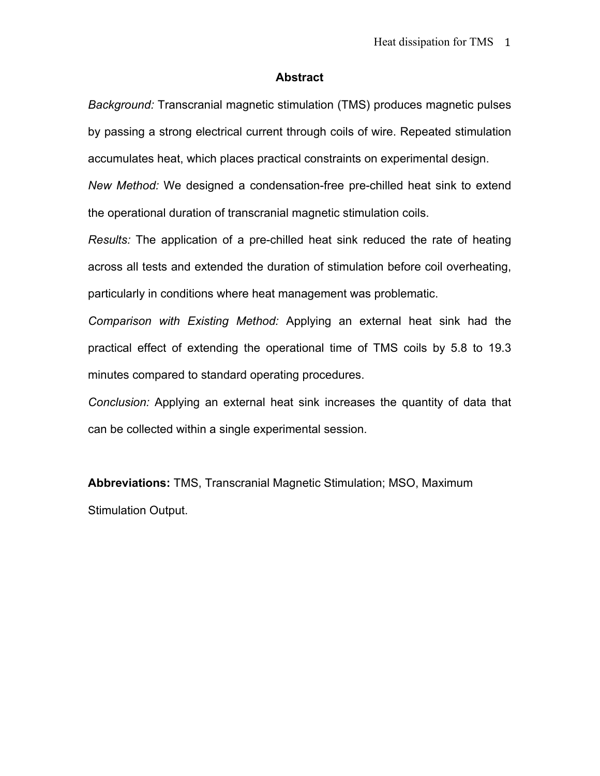## **Abstract**

*Background:* Transcranial magnetic stimulation (TMS) produces magnetic pulses by passing a strong electrical current through coils of wire. Repeated stimulation accumulates heat, which places practical constraints on experimental design.

*New Method:* We designed a condensation-free pre-chilled heat sink to extend the operational duration of transcranial magnetic stimulation coils.

*Results:* The application of a pre-chilled heat sink reduced the rate of heating across all tests and extended the duration of stimulation before coil overheating, particularly in conditions where heat management was problematic.

*Comparison with Existing Method:* Applying an external heat sink had the practical effect of extending the operational time of TMS coils by 5.8 to 19.3 minutes compared to standard operating procedures.

*Conclusion:* Applying an external heat sink increases the quantity of data that can be collected within a single experimental session.

**Abbreviations:** TMS, Transcranial Magnetic Stimulation; MSO, Maximum Stimulation Output.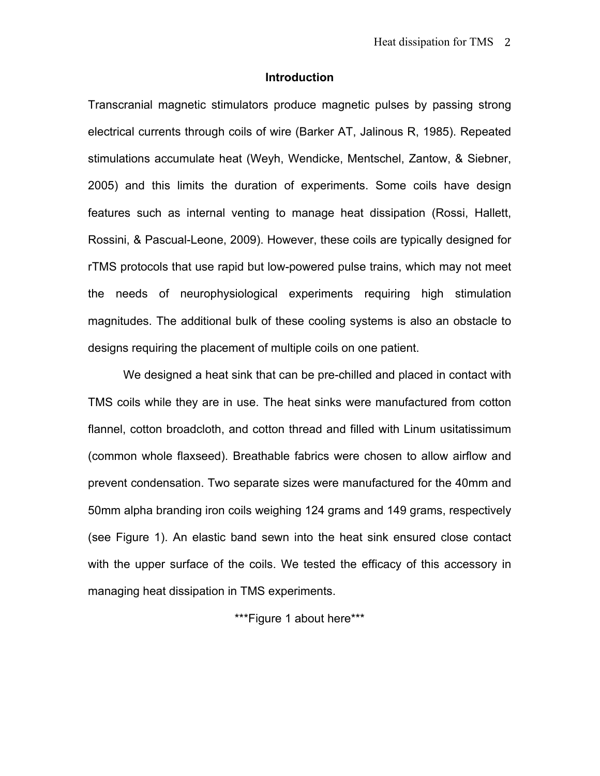## **Introduction**

Transcranial magnetic stimulators produce magnetic pulses by passing strong electrical currents through coils of wire (Barker AT, Jalinous R, 1985). Repeated stimulations accumulate heat (Weyh, Wendicke, Mentschel, Zantow, & Siebner, 2005) and this limits the duration of experiments. Some coils have design features such as internal venting to manage heat dissipation (Rossi, Hallett, Rossini, & Pascual-Leone, 2009). However, these coils are typically designed for rTMS protocols that use rapid but low-powered pulse trains, which may not meet the needs of neurophysiological experiments requiring high stimulation magnitudes. The additional bulk of these cooling systems is also an obstacle to designs requiring the placement of multiple coils on one patient.

We designed a heat sink that can be pre-chilled and placed in contact with TMS coils while they are in use. The heat sinks were manufactured from cotton flannel, cotton broadcloth, and cotton thread and filled with Linum usitatissimum (common whole flaxseed). Breathable fabrics were chosen to allow airflow and prevent condensation. Two separate sizes were manufactured for the 40mm and 50mm alpha branding iron coils weighing 124 grams and 149 grams, respectively (see Figure 1). An elastic band sewn into the heat sink ensured close contact with the upper surface of the coils. We tested the efficacy of this accessory in managing heat dissipation in TMS experiments.

\*\*\*Figure 1 about here\*\*\*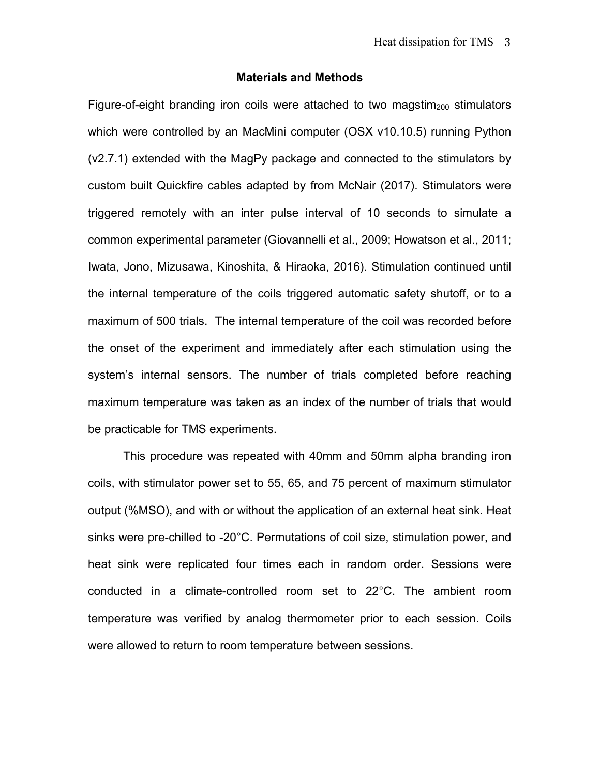#### **Materials and Methods**

Figure-of-eight branding iron coils were attached to two magstim<sub>200</sub> stimulators which were controlled by an MacMini computer (OSX v10.10.5) running Python (v2.7.1) extended with the MagPy package and connected to the stimulators by custom built Quickfire cables adapted by from McNair (2017). Stimulators were triggered remotely with an inter pulse interval of 10 seconds to simulate a common experimental parameter (Giovannelli et al., 2009; Howatson et al., 2011; Iwata, Jono, Mizusawa, Kinoshita, & Hiraoka, 2016). Stimulation continued until the internal temperature of the coils triggered automatic safety shutoff, or to a maximum of 500 trials. The internal temperature of the coil was recorded before the onset of the experiment and immediately after each stimulation using the system's internal sensors. The number of trials completed before reaching maximum temperature was taken as an index of the number of trials that would be practicable for TMS experiments.

This procedure was repeated with 40mm and 50mm alpha branding iron coils, with stimulator power set to 55, 65, and 75 percent of maximum stimulator output (%MSO), and with or without the application of an external heat sink. Heat sinks were pre-chilled to -20°C. Permutations of coil size, stimulation power, and heat sink were replicated four times each in random order. Sessions were conducted in a climate-controlled room set to 22°C. The ambient room temperature was verified by analog thermometer prior to each session. Coils were allowed to return to room temperature between sessions.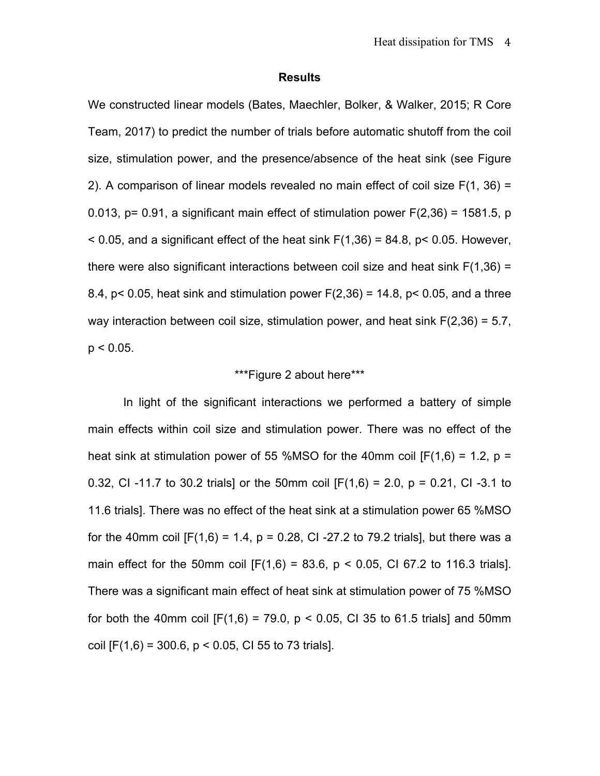#### **Results**

We constructed linear models (Bates, Maechler, Bolker, & Walker, 2015; R Core Team, 2017) to predict the number of trials before automatic shutoff from the coil size, stimulation power, and the presence/absence of the heat sink (see Figure 2). A comparison of linear models revealed no main effect of coil size F(1, 36) = 0.013,  $p = 0.91$ , a significant main effect of stimulation power  $F(2,36) = 1581.5$ , p  $<$  0.05, and a significant effect of the heat sink F(1,36) = 84.8, p $<$  0.05. However, there were also significant interactions between coil size and heat sink  $F(1,36) =$ 8.4,  $p$  < 0.05, heat sink and stimulation power  $F(2,36) = 14.8$ ,  $p$  < 0.05, and a three way interaction between coil size, stimulation power, and heat sink F(2,36) = 5.7,  $p < 0.05$ .

# \*\*\*Figure 2 about here\*\*\*

In light of the significant interactions we performed a battery of simple main effects within coil size and stimulation power. There was no effect of the heat sink at stimulation power of 55 %MSO for the 40mm coil  $[F(1,6) = 1.2, p =$ 0.32, CI -11.7 to 30.2 trials] or the 50mm coil  $[F(1,6) = 2.0, p = 0.21, Cl -3.1$  to 11.6 trials]. There was no effect of the heat sink at a stimulation power 65 %MSO for the 40mm coil  $[F(1,6) = 1.4, p = 0.28, Cl -27.2$  to 79.2 trials], but there was a main effect for the 50mm coil  $[F(1,6) = 83.6, p < 0.05, C1 67.2$  to 116.3 trials]. There was a significant main effect of heat sink at stimulation power of 75 %MSO for both the 40mm coil  $[F(1,6) = 79.0, p < 0.05, C1 35$  to 61.5 trials] and 50mm coil  $[F(1,6) = 300.6, p < 0.05, C155$  to 73 trials].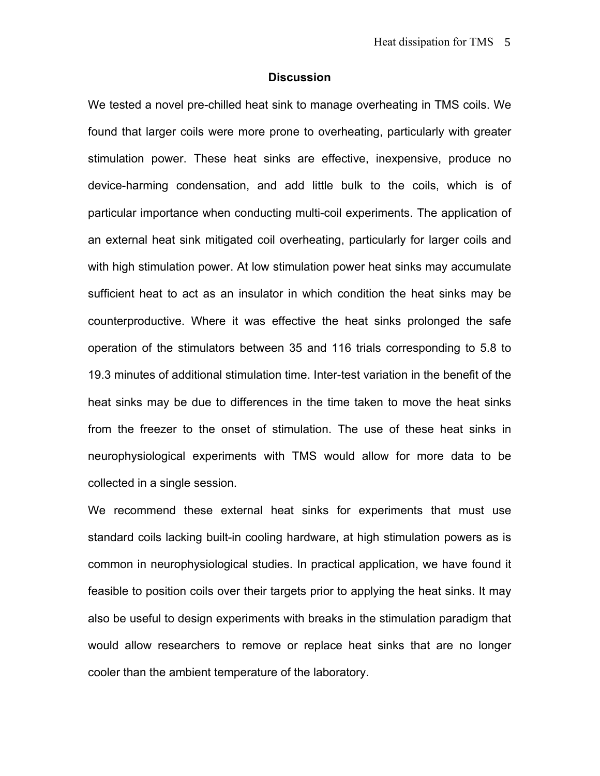### **Discussion**

We tested a novel pre-chilled heat sink to manage overheating in TMS coils. We found that larger coils were more prone to overheating, particularly with greater stimulation power. These heat sinks are effective, inexpensive, produce no device-harming condensation, and add little bulk to the coils, which is of particular importance when conducting multi-coil experiments. The application of an external heat sink mitigated coil overheating, particularly for larger coils and with high stimulation power. At low stimulation power heat sinks may accumulate sufficient heat to act as an insulator in which condition the heat sinks may be counterproductive. Where it was effective the heat sinks prolonged the safe operation of the stimulators between 35 and 116 trials corresponding to 5.8 to 19.3 minutes of additional stimulation time. Inter-test variation in the benefit of the heat sinks may be due to differences in the time taken to move the heat sinks from the freezer to the onset of stimulation. The use of these heat sinks in neurophysiological experiments with TMS would allow for more data to be collected in a single session.

We recommend these external heat sinks for experiments that must use standard coils lacking built-in cooling hardware, at high stimulation powers as is common in neurophysiological studies. In practical application, we have found it feasible to position coils over their targets prior to applying the heat sinks. It may also be useful to design experiments with breaks in the stimulation paradigm that would allow researchers to remove or replace heat sinks that are no longer cooler than the ambient temperature of the laboratory.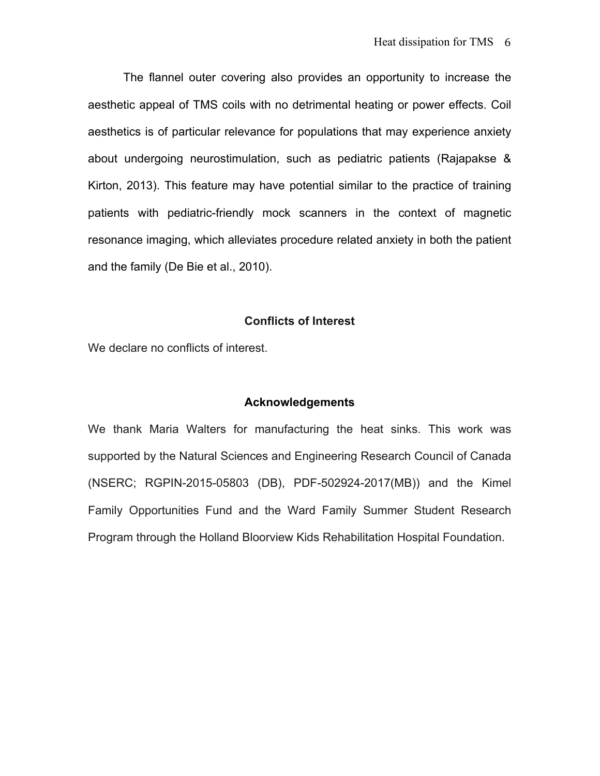The flannel outer covering also provides an opportunity to increase the aesthetic appeal of TMS coils with no detrimental heating or power effects. Coil aesthetics is of particular relevance for populations that may experience anxiety about undergoing neurostimulation, such as pediatric patients (Rajapakse & Kirton, 2013). This feature may have potential similar to the practice of training patients with pediatric-friendly mock scanners in the context of magnetic resonance imaging, which alleviates procedure related anxiety in both the patient and the family (De Bie et al., 2010).

## **Conflicts of Interest**

We declare no conflicts of interest.

#### **Acknowledgements**

We thank Maria Walters for manufacturing the heat sinks. This work was supported by the Natural Sciences and Engineering Research Council of Canada (NSERC; RGPIN-2015-05803 (DB), PDF-502924-2017(MB)) and the Kimel Family Opportunities Fund and the Ward Family Summer Student Research Program through the Holland Bloorview Kids Rehabilitation Hospital Foundation.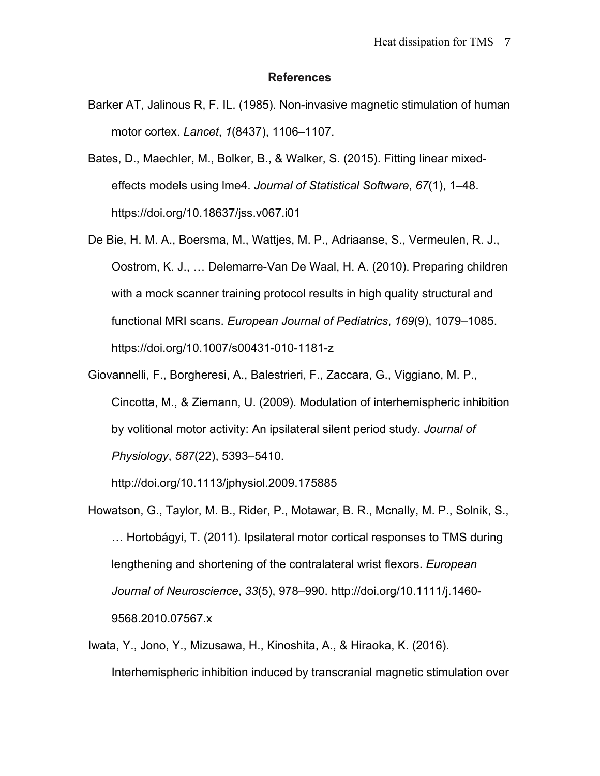#### **References**

- Barker AT, Jalinous R, F. IL. (1985). Non-invasive magnetic stimulation of human motor cortex. *Lancet*, *1*(8437), 1106–1107.
- Bates, D., Maechler, M., Bolker, B., & Walker, S. (2015). Fitting linear mixedeffects models using lme4. *Journal of Statistical Software*, *67*(1), 1–48. https://doi.org/10.18637/jss.v067.i01
- De Bie, H. M. A., Boersma, M., Wattjes, M. P., Adriaanse, S., Vermeulen, R. J., Oostrom, K. J., … Delemarre-Van De Waal, H. A. (2010). Preparing children with a mock scanner training protocol results in high quality structural and functional MRI scans. *European Journal of Pediatrics*, *169*(9), 1079–1085. https://doi.org/10.1007/s00431-010-1181-z
- Giovannelli, F., Borgheresi, A., Balestrieri, F., Zaccara, G., Viggiano, M. P., Cincotta, M., & Ziemann, U. (2009). Modulation of interhemispheric inhibition by volitional motor activity: An ipsilateral silent period study. *Journal of Physiology*, *587*(22), 5393–5410.

http://doi.org/10.1113/jphysiol.2009.175885

- Howatson, G., Taylor, M. B., Rider, P., Motawar, B. R., Mcnally, M. P., Solnik, S., … Hortobágyi, T. (2011). Ipsilateral motor cortical responses to TMS during lengthening and shortening of the contralateral wrist flexors. *European Journal of Neuroscience*, *33*(5), 978–990. http://doi.org/10.1111/j.1460- 9568.2010.07567.x
- Iwata, Y., Jono, Y., Mizusawa, H., Kinoshita, A., & Hiraoka, K. (2016). Interhemispheric inhibition induced by transcranial magnetic stimulation over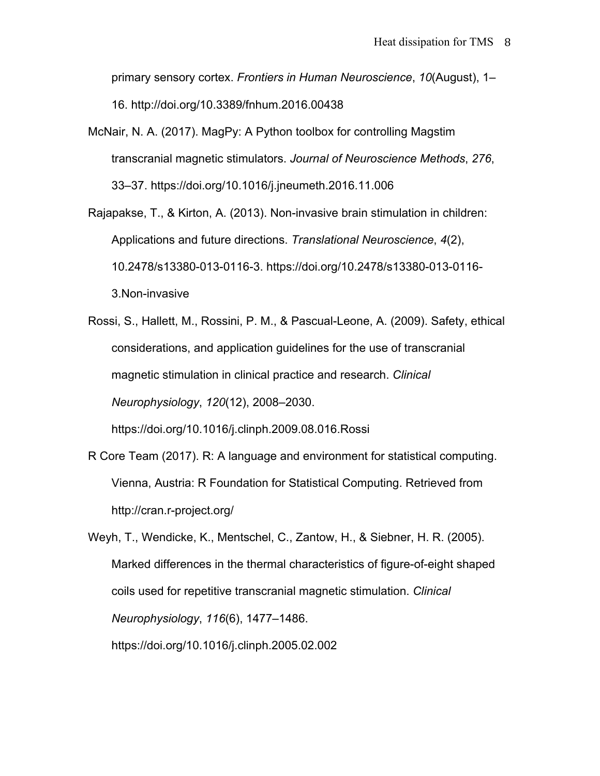primary sensory cortex. *Frontiers in Human Neuroscience*, *10*(August), 1–

16. http://doi.org/10.3389/fnhum.2016.00438

McNair, N. A. (2017). MagPy: A Python toolbox for controlling Magstim transcranial magnetic stimulators. *Journal of Neuroscience Methods*, *276*, 33–37. https://doi.org/10.1016/j.jneumeth.2016.11.006

Rajapakse, T., & Kirton, A. (2013). Non-invasive brain stimulation in children: Applications and future directions. *Translational Neuroscience*, *4*(2), 10.2478/s13380-013-0116-3. https://doi.org/10.2478/s13380-013-0116- 3.Non-invasive

Rossi, S., Hallett, M., Rossini, P. M., & Pascual-Leone, A. (2009). Safety, ethical considerations, and application guidelines for the use of transcranial magnetic stimulation in clinical practice and research. *Clinical Neurophysiology*, *120*(12), 2008–2030.

https://doi.org/10.1016/j.clinph.2009.08.016.Rossi

R Core Team (2017). R: A language and environment for statistical computing. Vienna, Austria: R Foundation for Statistical Computing. Retrieved from http://cran.r-project.org/

Weyh, T., Wendicke, K., Mentschel, C., Zantow, H., & Siebner, H. R. (2005). Marked differences in the thermal characteristics of figure-of-eight shaped coils used for repetitive transcranial magnetic stimulation. *Clinical Neurophysiology*, *116*(6), 1477–1486. https://doi.org/10.1016/j.clinph.2005.02.002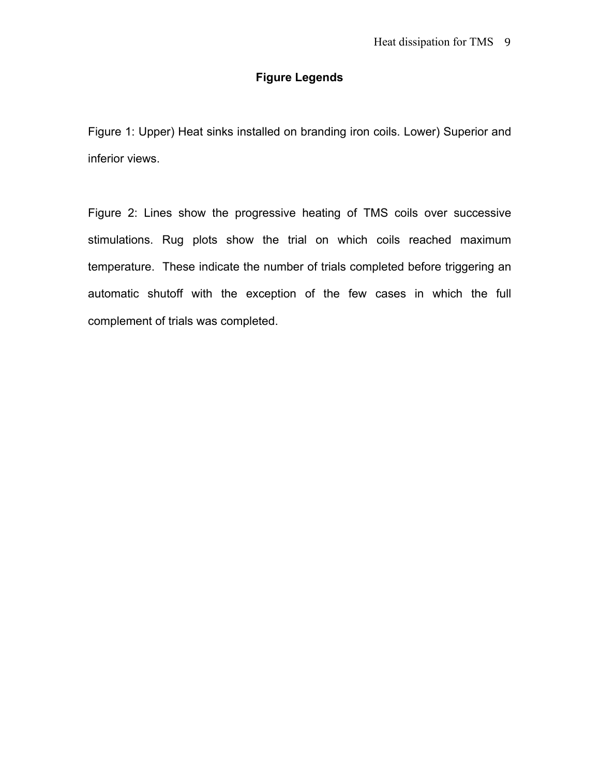# **Figure Legends**

Figure 1: Upper) Heat sinks installed on branding iron coils. Lower) Superior and inferior views.

Figure 2: Lines show the progressive heating of TMS coils over successive stimulations. Rug plots show the trial on which coils reached maximum temperature. These indicate the number of trials completed before triggering an automatic shutoff with the exception of the few cases in which the full complement of trials was completed.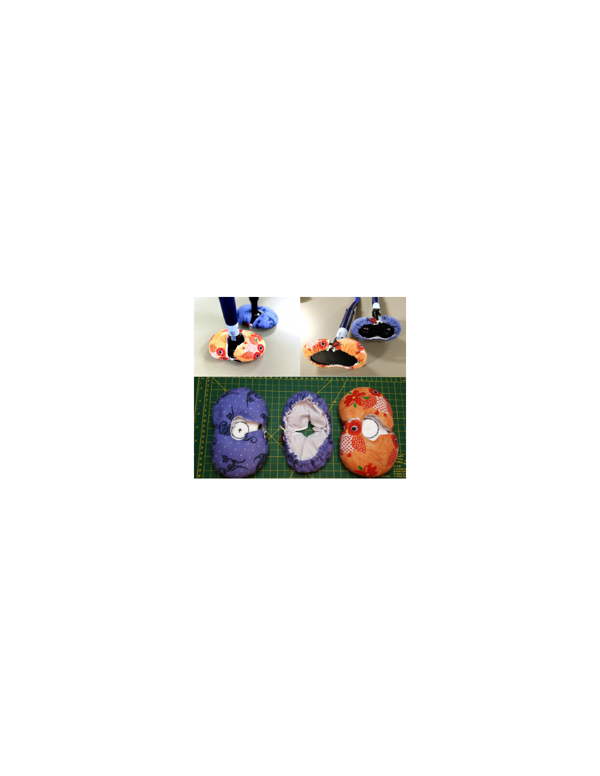